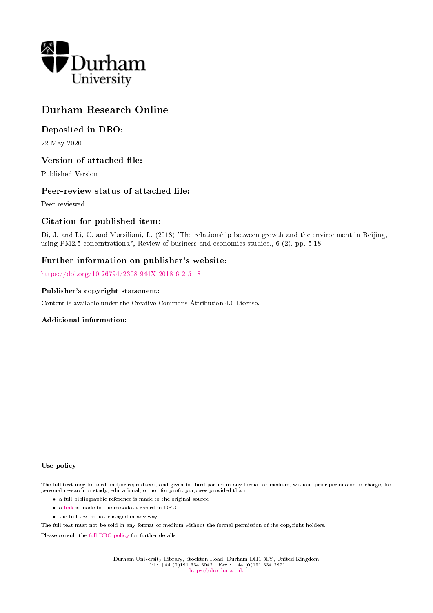

# Durham Research Online

# Deposited in DRO:

22 May 2020

## Version of attached file:

Published Version

## Peer-review status of attached file:

Peer-reviewed

# Citation for published item:

Di, J. and Li, C. and Marsiliani, L. (2018) 'The relationship between growth and the environment in Beijing, using PM2.5 concentrations.', Review of business and economics studies., 6 (2). pp. 5-18.

# Further information on publisher's website:

<https://doi.org/10.26794/2308-944X-2018-6-2-5-18>

#### Publisher's copyright statement:

Content is available under the Creative Commons Attribution 4.0 License.

#### Additional information:

#### Use policy

The full-text may be used and/or reproduced, and given to third parties in any format or medium, without prior permission or charge, for personal research or study, educational, or not-for-profit purposes provided that:

- a full bibliographic reference is made to the original source
- a [link](http://dro.dur.ac.uk/24819/) is made to the metadata record in DRO
- the full-text is not changed in any way

The full-text must not be sold in any format or medium without the formal permission of the copyright holders.

Please consult the [full DRO policy](https://dro.dur.ac.uk/policies/usepolicy.pdf) for further details.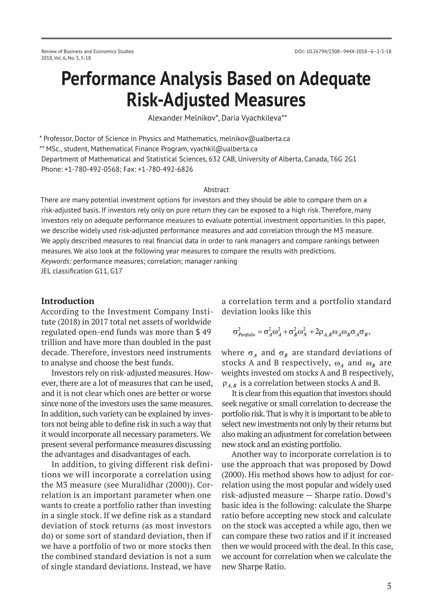# **Performance Analysis Based on Adequate Risk-Adjusted Measures**

Alexander Melnikov\*, Daria Vyachkileva\*\*

\* Professor, Doctor of Science in Physics and Mathematics, melnikov@ualberta.ca \*\* MSc., student, Mathematical Finance Program, vyachkil@ualberta.ca Department of Mathematical and Statistical Sciences, 632 CAB, University of Alberta, Canada, T6G 2G1 Phone: +1-780-492-0568; Fax: +1-780-492-6826

#### Abstract

There are many potential investment options for investors and they should be able to compare them on a risk-adjusted basis. If investors rely only on pure return they can be exposed to a high risk. Therefore, many investors rely on adequate performance measures to evaluate potential investment opportunities. In this paper, we describe widely used risk-adjusted performance measures and add correlation through the M3 measure. We apply described measures to real financial data in order to rank managers and compare rankings between measures. We also look at the following year measures to compare the results with predictions. *Keywords:* performance measures; correlation; manager ranking

JEL classification G11, G17

## **Introduction**

According to the Investment Company Institute (2018) in 2017 total net assets of worldwide regulated open-end funds was more than \$ 49 trillion and have more than doubled in the past decade. Therefore, investors need instruments to analyse and choose the best funds.

Investors rely on risk-adjusted measures. However, there are a lot of measures that can be used, and it is not clear which ones are better or worse since none of the investors uses the same measures. In addition, such variety can be explained by investors not being able to define risk in such a way that it would incorporate all necessary parameters. We present several performance measures discussing the advantages and disadvantages of each.

In addition, to giving different risk definitions we will incorporate a correlation using the M3 measure (see Muralidhar (2000)). Correlation is an important parameter when one wants to create a portfolio rather than investing in a single stock. If we define risk as a standard deviation of stock returns (as most investors do) or some sort of standard deviation, then if we have a portfolio of two or more stocks then the combined standard deviation is not a sum of single standard deviations. Instead, we have

a correlation term and a portfolio standard deviation looks like this

$$
\sigma_{\text{Portfolio}}^2 = \sigma_A^2 \omega_A^2 + \sigma_B^2 \omega_N^2 + 2\rho_{A,B} \omega_A \omega_B \sigma_A \sigma_B,
$$

where  $\sigma_A$  and  $\sigma_B$  are standard deviations of stocks A and B respectively,  $\omega_A$  and  $\omega_B$  are weights invested om stocks A and B respectively,  $\rho_{AB}$  is a correlation between stocks A and B.

It is clear from this equation that investors should seek negative or small correlation to decrease the portfolio risk. That is why it is important to be able to select new investments not only by their returns but also making an adjustment for correlation between new stock and an existing portfolio.

Another way to incorporate correlation is to use the approach that was proposed by Dowd (2000). His method shows how to adjust for correlation using the most popular and widely used risk-adjusted measure — Sharpe ratio. Dowd's basic idea is the following: calculate the Sharpe ratio before accepting new stock and calculate on the stock was accepted a while ago, then we can compare these two ratios and if it increased then we would proceed with the deal. In this case, we account for correlation when we calculate the new Sharpe Ratio.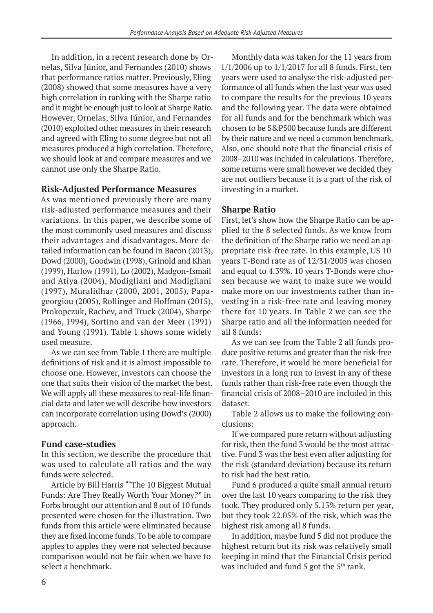In addition, in a recent research done by Ornelas, Silva Júnior, and Fernandes (2010) shows that performance ratios matter. Previously, Eling (2008) showed that some measures have a very high correlation in ranking with the Sharpe ratio and it might be enough just to look at Sharpe Ratio. However, Ornelas, Silva Júnior, and Fernandes (2010) exploited other measures in their research and agreed with Eling to some degree but not all measures produced a high correlation. Therefore, we should look at and compare measures and we cannot use only the Sharpe Ratio.

# **Risk-Adjusted Performance Measures**

As was mentioned previously there are many risk-adjusted performance measures and their variations. In this paper, we describe some of the most commonly used measures and discuss their advantages and disadvantages. More detailed information can be found in Bacon (2013), Dowd (2000), Goodwin (1998), Grinold and Khan (1999), Harlow (1991), Lo (2002), Madgon-Ismail and Atiya (2004), Modigliani and Modigliani (1997), Muralidhar (2000, 2001, 2005), Papageorgiou (2005), Rollinger and Hoffman (2015), Prokopczuk, Rachev, and Truck (2004), Sharpe (1966, 1994), Sortino and van der Meer (1991) and Young (1991). Table 1 shows some widely used measure.

As we can see from Table 1 there are multiple definitions of risk and it is almost impossible to choose one. However, investors can choose the one that suits their vision of the market the best. We will apply all these measures to real-life financial data and later we will describe how investors can incorporate correlation using Dowd's (2000) approach.

# **Fund case-studies**

In this section, we describe the procedure that was used to calculate all ratios and the way funds were selected.

Article by Bill Harris "'The 10 Biggest Mutual Funds: Are They Really Worth Your Money?" in Forbs brought our attention and 8 out of 10 funds presented were chosen for the illustration. Two funds from this article were eliminated because they are fixed income funds. To be able to compare apples to apples they were not selected because comparison would not be fair when we have to select a benchmark.

Monthly data was taken for the 11 years from 1/1/2006 up to 1/1/2017 for all 8 funds. First, ten years were used to analyse the risk-adjusted performance of all funds when the last year was used to compare the results for the previous 10 years and the following year. The data were obtained for all funds and for the benchmark which was chosen to be S&P500 because funds are different by their nature and we need a common benchmark. Also, one should note that the financial crisis of 2008–2010 was included in calculations. Therefore, some returns were small however we decided they are not outliers because it is a part of the risk of investing in a market.

# **Sharpe Ratio**

First, let's show how the Sharpe Ratio can be applied to the 8 selected funds. As we know from the definition of the Sharpe ratio we need an appropriate risk-free rate. In this example, US 10 years T-Bond rate as of 12/31/2005 was chosen and equal to 4.39%. 10 years T-Bonds were chosen because we want to make sure we would make more on our investments rather than investing in a risk-free rate and leaving money there for 10 years. In Table 2 we can see the Sharpe ratio and all the information needed for all 8 funds:

As we can see from the Table 2 all funds produce positive returns and greater than the risk-free rate. Therefore, it would be more beneficial for investors in a long run to invest in any of these funds rather than risk-free rate even though the financial crisis of 2008–2010 are included in this dataset.

Table 2 allows us to make the following conclusions:

If we compared pure return without adjusting for risk, then the fund 3 would be the most attractive. Fund 3 was the best even after adjusting for the risk (standard deviation) because its return to risk had the best ratio.

Fund 6 produced a quite small annual return over the last 10 years comparing to the risk they took. They produced only 5.13% return per year, but they took 22.05% of the risk, which was the highest risk among all 8 funds.

In addition, maybe fund 5 did not produce the highest return but its risk was relatively small keeping in mind that the Financial Crisis period was included and fund 5 got the  $5<sup>th</sup>$  rank.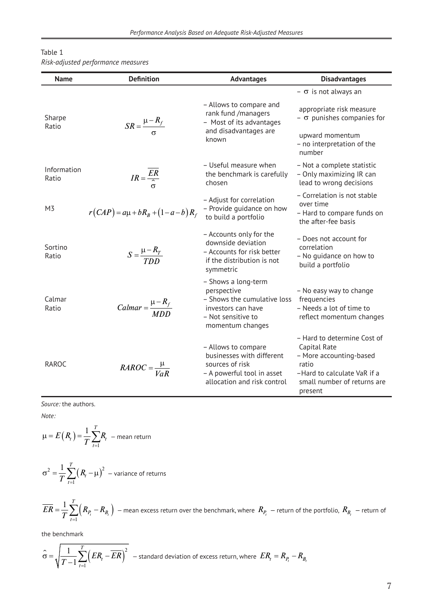| Table 1                            |  |
|------------------------------------|--|
| Risk-adjusted performance measures |  |

| <b>Name</b>          | <b>Definition</b>                       | <b>Advantages</b>                                                                                                                 | <b>Disadvantages</b>                                                                                                                                     |
|----------------------|-----------------------------------------|-----------------------------------------------------------------------------------------------------------------------------------|----------------------------------------------------------------------------------------------------------------------------------------------------------|
|                      |                                         |                                                                                                                                   | $ \sigma$ is not always an                                                                                                                               |
| Sharpe<br>Ratio      | $SR = \frac{\mu - R_f}{\sigma}$         | - Allows to compare and<br>rank fund /managers<br>- Most of its advantages                                                        | appropriate risk measure<br>$ \sigma$ punishes companies for                                                                                             |
|                      |                                         | and disadvantages are<br>known                                                                                                    | upward momentum<br>- no interpretation of the<br>number                                                                                                  |
| Information<br>Ratio | $IR = \frac{ER}{2}$                     | - Useful measure when<br>the benchmark is carefully<br>chosen                                                                     | - Not a complete statistic<br>- Only maximizing IR can<br>lead to wrong decisions                                                                        |
| M3                   | $r(CAP) = a\mu + bR_B + (1 - a - b)R_f$ | - Adjust for correlation<br>- Provide guidance on how<br>to build a portfolio                                                     | - Correlation is not stable<br>over time<br>- Hard to compare funds on<br>the after-fee basis                                                            |
| Sortino<br>Ratio     | $S = \frac{\mu - R_T}{T D D}$           | - Accounts only for the<br>downside deviation<br>- Accounts for risk better<br>if the distribution is not<br>symmetric            | - Does not account for<br>correlation<br>- No quidance on how to<br>build a portfolio                                                                    |
| Calmar<br>Ratio      | $Calmar = \frac{\mu - R_f}{M D D}$      | - Shows a long-term<br>perspective<br>- Shows the cumulative loss<br>investors can have<br>- Not sensitive to<br>momentum changes | - No easy way to change<br>frequencies<br>- Needs a lot of time to<br>reflect momentum changes                                                           |
| <b>RAROC</b>         | $RAROC = \frac{\mu}{VaR}$               | - Allows to compare<br>businesses with different<br>sources of risk<br>- A powerful tool in asset<br>allocation and risk control  | - Hard to determine Cost of<br>Capital Rate<br>- More accounting-based<br>ratio<br>-Hard to calculate VaR if a<br>small number of returns are<br>present |

*Note:*

$$
\mu = E(R_t) = \frac{1}{T} \sum_{t=1}^{T} R_t
$$
 - mean return  

$$
\sigma^2 = \frac{1}{T} \sum_{t=1}^{T} (R_t - \mu)^2
$$
 - variance of returns

$$
\overline{ER} = \frac{1}{T} \sum_{t=1}^{T} \left( R_{P_t} - R_{B_t} \right)
$$
 — mean excess return over the benchmark, where  $R_{P_t}$  — return of the portfolio,  $R_{B_t}$  — return of

the benchmark

$$
\hat{\sigma} = \sqrt{\frac{1}{T-1} \sum_{t=1}^{T} (ER_t - \overline{ER})^2}
$$
 – standard deviation of excess return, where  $ER_t = R_{P_t} - R_{B_t}$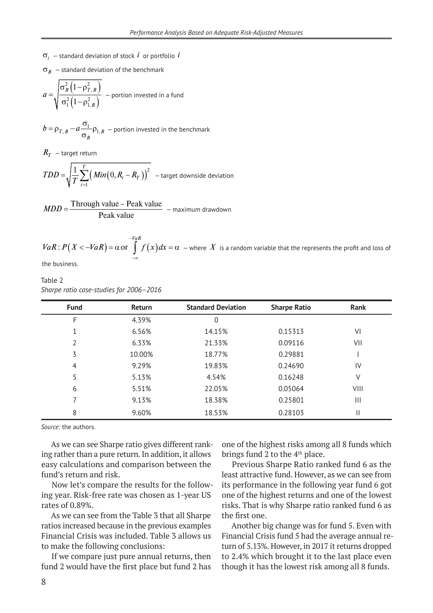- $\sigma_i$  standard deviation of stock *i* or portfolio *i*
- $\sigma_B$  standard deviation of the benchmark

$$
a = \sqrt{\frac{\sigma_B^2 \left(1 - \rho_{T,B}^2\right)}{\sigma_1^2 \left(1 - \rho_{1,B}^2\right)}} - \text{portion invested in a fund}
$$

$$
b = \rho_{T,B} - a \frac{\sigma_1}{\sigma_B} \rho_{1,B}
$$
 – portion invested in the benchmark

 $R_T$  – target return

$$
TDD = \sqrt{\frac{1}{T} \sum_{t=1}^{T} (Min(0, R_t - R_T))^2}
$$
 - target downside deviation

Through value - Peak value Peak value  $MDD = \frac{1 \text{ m} \times 2}{D}$   $\frac{1}{2}$   $\frac{1}{2}$   $\frac{1}{2}$   $\frac{1}{2}$   $\frac{1}{2}$   $\frac{1}{2}$   $\frac{1}{2}$   $\frac{1}{2}$   $\frac{1}{2}$   $\frac{1}{2}$   $\frac{1}{2}$   $\frac{1}{2}$   $\frac{1}{2}$   $\frac{1}{2}$   $\frac{1}{2}$   $\frac{1}{2}$   $\frac{1}{2}$   $\frac{1}{2}$   $\frac{1}{2}$   $\frac{1}{2}$ 

:  $P(X < -VaR) = \alpha$  or  $| f(x)|$ *VaR*  $VaR$ :  $P(X < -VaR) = \alpha$  or  $\int f(x)dx$ −  $<-VaR$ ) =  $\alpha$  or  $\int\limits_{-\infty}^{\infty} f(x)dx = \alpha$  – where  $X$  is a random variable that the represents the profit and loss of

the business.

Table 2 *Sharpe ratio case-studies for 2006–2016*

| <b>Fund</b> | Return | <b>Standard Deviation</b> | <b>Sharpe Ratio</b> | Rank |
|-------------|--------|---------------------------|---------------------|------|
| F           | 4.39%  | 0                         |                     |      |
| 1           | 6.56%  | 14.15%                    | 0.15313             | VI   |
| 2           | 6.33%  | 21.33%                    | 0.09116             | VII  |
| 3           | 10.00% | 18.77%                    | 0.29881             |      |
| 4           | 9.29%  | 19.83%                    | 0.24690             | IV   |
| 5           | 5.13%  | 4.54%                     | 0.16248             | ٧    |
| 6           | 5.51%  | 22.05%                    | 0.05064             | VIII |
| 7           | 9.13%  | 18.38%                    | 0.25801             | Ш    |
| 8           | 9.60%  | 18.53%                    | 0.28103             | Ш    |

*Source:* the authors.

As we can see Sharpe ratio gives different ranking rather than a pure return. In addition, it allows easy calculations and comparison between the fund's return and risk.

Now let's compare the results for the following year. Risk-free rate was chosen as 1-year US rates of 0.89%.

As we can see from the Table 3 that all Sharpe ratios increased because in the previous examples Financial Crisis was included. Table 3 allows us to make the following conclusions:

If we compare just pure annual returns, then fund 2 would have the first place but fund 2 has one of the highest risks among all 8 funds which brings fund 2 to the 4<sup>th</sup> place.

Previous Sharpe Ratio ranked fund 6 as the least attractive fund. However, as we can see from its performance in the following year fund 6 got one of the highest returns and one of the lowest risks. That is why Sharpe ratio ranked fund 6 as the first one.

Another big change was for fund 5. Even with Financial Crisis fund 5 had the average annual return of 5.13%. However, in 2017 it returns dropped to 2.4% which brought it to the last place even though it has the lowest risk among all 8 funds.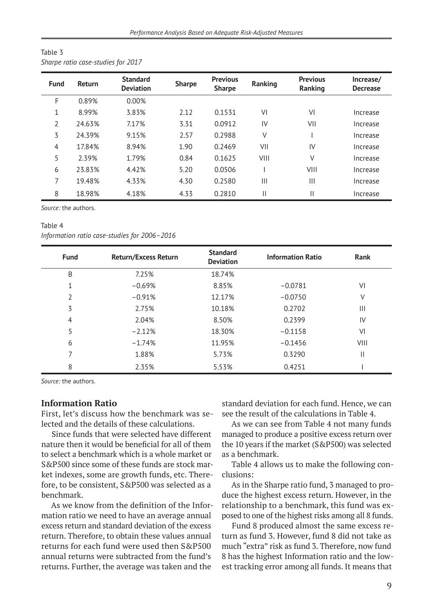| Table 3                            |  |
|------------------------------------|--|
| Sharpe ratio case-studies for 2017 |  |

| <b>Fund</b>    | <b>Return</b> | <b>Standard</b><br><b>Deviation</b> | <b>Sharpe</b> | <b>Previous</b><br><b>Sharpe</b> | Ranking | <b>Previous</b><br>Ranking | Increase/<br><b>Decrease</b> |
|----------------|---------------|-------------------------------------|---------------|----------------------------------|---------|----------------------------|------------------------------|
| F              | 0.89%         | 0.00%                               |               |                                  |         |                            |                              |
| $\mathbf{1}$   | 8.99%         | 3.83%                               | 2.12          | 0.1531                           | VI      | VI                         | Increase                     |
| 2              | 24.63%        | 7.17%                               | 3.31          | 0.0912                           | IV      | VII                        | Increase                     |
| 3              | 24.39%        | 9.15%                               | 2.57          | 0.2988                           | V       |                            | Increase                     |
| $\overline{4}$ | 17.84%        | 8.94%                               | 1.90          | 0.2469                           | VII     | IV                         | Increase                     |
| 5              | 2.39%         | 1.79%                               | 0.84          | 0.1625                           | VIII    | $\vee$                     | Increase                     |
| 6              | 23.83%        | 4.42%                               | 5.20          | 0.0506                           |         | VIII                       | Increase                     |
| 7              | 19.48%        | 4.33%                               | 4.30          | 0.2580                           | Ш       | Ш                          | Increase                     |
| 8              | 18.98%        | 4.18%                               | 4.33          | 0.2810                           | 11      | $\mathsf{II}$              | Increase                     |

#### Table 4

*Information ratio case-studies for 2006–2016*

| <b>Fund</b> | <b>Return/Excess Return</b> | <b>Standard</b><br><b>Deviation</b> | <b>Information Ratio</b> | Rank           |
|-------------|-----------------------------|-------------------------------------|--------------------------|----------------|
| Β           | 7.25%                       | 18.74%                              |                          |                |
| 1           | $-0.69%$                    | 8.85%                               | $-0.0781$                | VI             |
| 2           | $-0.91%$                    | 12.17%                              | $-0.0750$                | ٧              |
| 3           | 2.75%                       | 10.18%                              | 0.2702                   | $\mathbf{III}$ |
| 4           | 2.04%                       | 8.50%                               | 0.2399                   | IV             |
| 5           | $-2.12%$                    | 18.30%                              | $-0.1158$                | VI             |
| 6           | $-1.74%$                    | 11.95%                              | $-0.1456$                | VIII           |
| 7           | 1.88%                       | 5.73%                               | 0.3290                   | Ш              |
| 8           | 2.35%                       | 5.53%                               | 0.4251                   |                |

*Source:* the authors.

## **Information Ratio**

First, let's discuss how the benchmark was selected and the details of these calculations.

Since funds that were selected have different nature then it would be beneficial for all of them to select a benchmark which is a whole market or S&P500 since some of these funds are stock market indexes, some are growth funds, etc. Therefore, to be consistent, S&P500 was selected as a benchmark.

As we know from the definition of the Information ratio we need to have an average annual excess return and standard deviation of the excess return. Therefore, to obtain these values annual returns for each fund were used then S&P500 annual returns were subtracted from the fund's returns. Further, the average was taken and the

standard deviation for each fund. Hence, we can see the result of the calculations in Table 4.

As we can see from Table 4 not many funds managed to produce a positive excess return over the 10 years if the market (S&P500) was selected as a benchmark.

Table 4 allows us to make the following conclusions:

As in the Sharpe ratio fund, 3 managed to produce the highest excess return. However, in the relationship to a benchmark, this fund was exposed to one of the highest risks among all 8 funds.

Fund 8 produced almost the same excess return as fund 3. However, fund 8 did not take as much "extra" risk as fund 3. Therefore, now fund 8 has the highest Information ratio and the lowest tracking error among all funds. It means that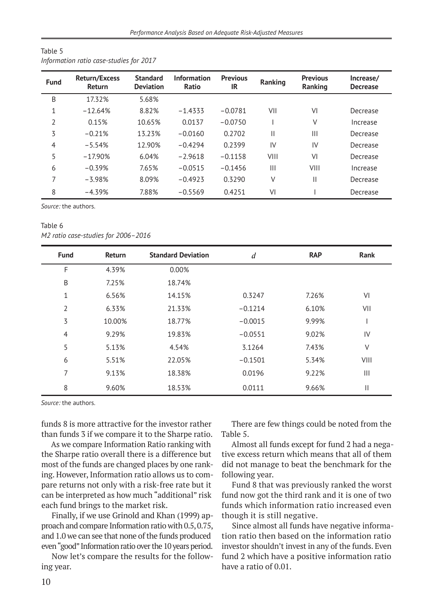| <b>Fund</b> | <b>Return/Excess</b><br><b>Return</b> | <b>Standard</b><br><b>Deviation</b> | <b>Information</b><br>Ratio | <b>Previous</b><br>IR | Ranking      | <b>Previous</b><br>Ranking | Increase/<br><b>Decrease</b> |
|-------------|---------------------------------------|-------------------------------------|-----------------------------|-----------------------|--------------|----------------------------|------------------------------|
| B           | 17.32%                                | 5.68%                               |                             |                       |              |                            |                              |
| 1           | $-12.64%$                             | 8.82%                               | $-1.4333$                   | $-0.0781$             | VII          | VI                         | Decrease                     |
| 2           | 0.15%                                 | 10.65%                              | 0.0137                      | $-0.0750$             |              | ٧                          | Increase                     |
| 3           | $-0.21%$                              | 13.23%                              | $-0.0160$                   | 0.2702                | $\mathsf{I}$ | Ш                          | Decrease                     |
| 4           | $-5.54%$                              | 12.90%                              | $-0.4294$                   | 0.2399                | IV           | IV                         | Decrease                     |
| 5           | $-17.90%$                             | 6.04%                               | $-2.9618$                   | $-0.1158$             | VIII         | VI                         | Decrease                     |
| 6           | $-0.39%$                              | 7.65%                               | $-0.0515$                   | $-0.1456$             | Ш            | VIII                       | Increase                     |
| 7           | $-3.98%$                              | 8.09%                               | $-0.4923$                   | 0.3290                | ٧            | Ш                          | Decrease                     |
| 8           | $-4.39%$                              | 7.88%                               | $-0.5569$                   | 0.4251                | VI           |                            | Decrease                     |

#### Table 5 *Information ratio case-studies for 2017*

*Source:* the authors.

#### Table 6 *M2 ratio case-studies for 2006–2016*

| <b>Fund</b>    | Return | <b>Standard Deviation</b> | $\boldsymbol{d}$ | <b>RAP</b> | Rank          |
|----------------|--------|---------------------------|------------------|------------|---------------|
| F              | 4.39%  | 0.00%                     |                  |            |               |
| B              | 7.25%  | 18.74%                    |                  |            |               |
| $\mathbf{1}$   | 6.56%  | 14.15%                    | 0.3247           | 7.26%      | VI            |
| 2              | 6.33%  | 21.33%                    | $-0.1214$        | 6.10%      | VII           |
| 3              | 10.00% | 18.77%                    | $-0.0015$        | 9.99%      |               |
| $\overline{4}$ | 9.29%  | 19.83%                    | $-0.0551$        | 9.02%      | IV            |
| 5              | 5.13%  | 4.54%                     | 3.1264           | 7.43%      | $\vee$        |
| 6              | 5.51%  | 22.05%                    | $-0.1501$        | 5.34%      | VIII          |
| 7              | 9.13%  | 18.38%                    | 0.0196           | 9.22%      | Ш             |
| 8              | 9.60%  | 18.53%                    | 0.0111           | 9.66%      | $\mathbf{  }$ |

*Source:* the authors.

funds 8 is more attractive for the investor rather than funds 3 if we compare it to the Sharpe ratio.

As we compare Information Ratio ranking with the Sharpe ratio overall there is a difference but most of the funds are changed places by one ranking. However, Information ratio allows us to compare returns not only with a risk-free rate but it can be interpreted as how much "additional" risk each fund brings to the market risk.

Finally, if we use Grinold and Khan (1999) approach and compare Information ratio with 0.5, 0.75, and 1.0 we can see that none of the funds produced even "good" Information ratio over the 10 years period.

Now let's compare the results for the following year.

There are few things could be noted from the Table 5.

Almost all funds except for fund 2 had a negative excess return which means that all of them did not manage to beat the benchmark for the following year.

Fund 8 that was previously ranked the worst fund now got the third rank and it is one of two funds which information ratio increased even though it is still negative.

Since almost all funds have negative information ratio then based on the information ratio investor shouldn't invest in any of the funds. Even fund 2 which have a positive information ratio have a ratio of 0.01.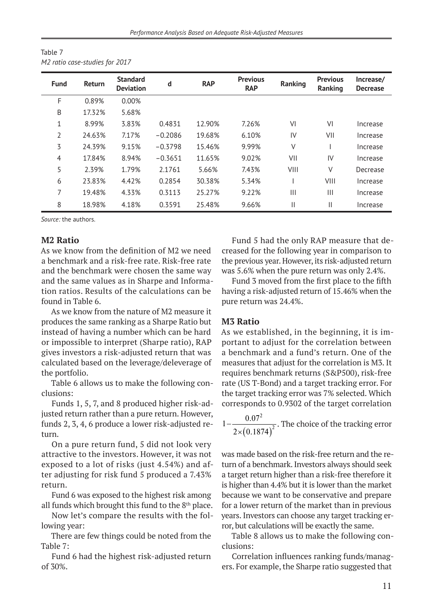| <b>Fund</b>    | <b>Return</b> | <b>Standard</b><br><b>Deviation</b> | d         | <b>RAP</b> | <b>Previous</b><br><b>RAP</b> | Ranking      | <b>Previous</b><br>Ranking | Increase/<br><b>Decrease</b> |
|----------------|---------------|-------------------------------------|-----------|------------|-------------------------------|--------------|----------------------------|------------------------------|
| F              | 0.89%         | 0.00%                               |           |            |                               |              |                            |                              |
| B              | 17.32%        | 5.68%                               |           |            |                               |              |                            |                              |
| 1              | 8.99%         | 3.83%                               | 0.4831    | 12.90%     | 7.26%                         | VI           | VI                         | Increase                     |
| 2              | 24.63%        | 7.17%                               | $-0.2086$ | 19.68%     | 6.10%                         | IV           | VII                        | Increase                     |
| 3              | 24.39%        | 9.15%                               | $-0.3798$ | 15.46%     | 9.99%                         | V            |                            | Increase                     |
| 4              | 17.84%        | 8.94%                               | $-0.3651$ | 11.65%     | 9.02%                         | VII          | IV                         | Increase                     |
| 5              | 2.39%         | 1.79%                               | 2.1761    | 5.66%      | 7.43%                         | VIII         | V                          | Decrease                     |
| 6              | 23.83%        | 4.42%                               | 0.2854    | 30.38%     | 5.34%                         |              | VIII                       | Increase                     |
| $\overline{7}$ | 19.48%        | 4.33%                               | 0.3113    | 25.27%     | 9.22%                         |              | Ш                          | Increase                     |
| 8              | 18.98%        | 4.18%                               | 0.3591    | 25.48%     | 9.66%                         | $\mathbf{H}$ | Ш                          | Increase                     |

| Table 7 |                                |
|---------|--------------------------------|
|         | M2 ratio case-studies for 2017 |

#### **M2 Ratio**

As we know from the definition of M2 we need a benchmark and a risk-free rate. Risk-free rate and the benchmark were chosen the same way and the same values as in Sharpe and Information ratios. Results of the calculations can be found in Table 6.

As we know from the nature of M2 measure it produces the same ranking as a Sharpe Ratio but instead of having a number which can be hard or impossible to interpret (Sharpe ratio), RAP gives investors a risk-adjusted return that was calculated based on the leverage/deleverage of the portfolio.

Table 6 allows us to make the following conclusions:

Funds 1, 5, 7, and 8 produced higher risk-adjusted return rather than a pure return. However, funds 2, 3, 4, 6 produce a lower risk-adjusted return.

On a pure return fund, 5 did not look very attractive to the investors. However, it was not exposed to a lot of risks (just 4.54%) and after adjusting for risk fund 5 produced a 7.43% return.

Fund 6 was exposed to the highest risk among all funds which brought this fund to the 8<sup>th</sup> place.

Now let's compare the results with the following year:

There are few things could be noted from the Table 7:

Fund 6 had the highest risk-adjusted return of 30%.

Fund 5 had the only RAP measure that decreased for the following year in comparison to the previous year. However, its risk-adjusted return was 5.6% when the pure return was only 2.4%.

Fund 3 moved from the first place to the fifth having a risk-adjusted return of 15.46% when the pure return was 24.4%.

### **M3 Ratio**

As we established, in the beginning, it is important to adjust for the correlation between a benchmark and a fund's return. One of the measures that adjust for the correlation is M3. It requires benchmark returns (S&P500), risk-free rate (US T-Bond) and a target tracking error. For the target tracking error was 7% selected. Which corresponds to 0.9302 of the target correlation

 $( 0.1874)$ 2  $1-\frac{0.07^2}{2(0.1974)^2}$  $-\frac{0.07}{2\times(0.1874)^2}$ . The choice of the tracking error

was made based on the risk-free return and the return of a benchmark. Investors always should seek a target return higher than a risk-free therefore it is higher than 4.4% but it is lower than the market because we want to be conservative and prepare for a lower return of the market than in previous years. Investors can choose any target tracking error, but calculations will be exactly the same.

Table 8 allows us to make the following conclusions:

Correlation influences ranking funds/managers. For example, the Sharpe ratio suggested that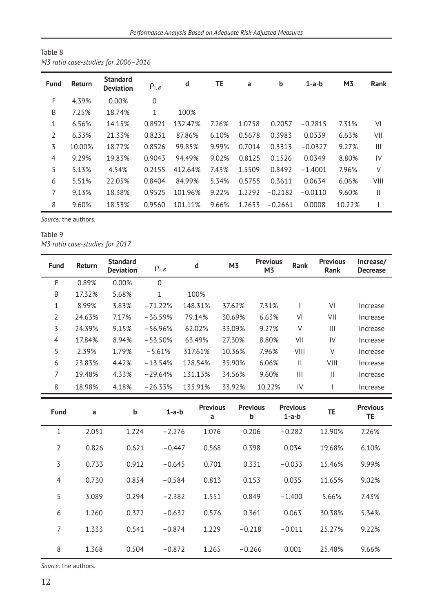| Table 8 |                                     |  |
|---------|-------------------------------------|--|
|         | M3 ratio case-studies for 2006-2016 |  |

| <b>Fund</b>    | Return | <b>Standard</b><br><b>Deviation</b> | $\rho_{1,B}$ | d       | TE    | a      | b         | $1-a-b$   | M <sub>3</sub> | <b>Rank</b>   |
|----------------|--------|-------------------------------------|--------------|---------|-------|--------|-----------|-----------|----------------|---------------|
| F              | 4.39%  | 0.00%                               | $\mathbf 0$  |         |       |        |           |           |                |               |
| Β              | 7.25%  | 18.74%                              | 1            | 100%    |       |        |           |           |                |               |
| 1              | 6.56%  | 14.15%                              | 0.8921       | 132.47% | 7.26% | 1.0758 | 0.2057    | $-0.2815$ | 7.31%          | VI            |
| 2              | 6.33%  | 21.33%                              | 0.8231       | 87.86%  | 6.10% | 0.5678 | 0.3983    | 0.0339    | 6.63%          | VII           |
| 3              | 10.00% | 18.77%                              | 0.8526       | 99.85%  | 9.99% | 0.7014 | 0.3313    | $-0.0327$ | 9.27%          | Ш             |
| $\overline{4}$ | 9.29%  | 19.83%                              | 0.9043       | 94.49%  | 9.02% | 0.8125 | 0.1526    | 0.0349    | 8.80%          | IV            |
| 5              | 5.13%  | 4.54%                               | 0.2155       | 412.64% | 7.43% | 1.5509 | 0.8492    | $-1.4001$ | 7.96%          | V             |
| 6              | 5.51%  | 22.05%                              | 0.8404       | 84.99%  | 5.34% | 0.5755 | 0.3611    | 0.0634    | 6.06%          | VIII          |
| 7              | 9.13%  | 18.38%                              | 0.9525       | 101.96% | 9.22% | 1.2292 | $-0.2182$ | $-0.0110$ | 9.60%          | $\mathbf{  }$ |
| 8              | 9.60%  | 18.53%                              | 0.9560       | 101.11% | 9.66% | 1.2653 | $-0.2661$ | 0.0008    | 10.22%         |               |

# Table 9 *M3 ratio case-studies for 2017*

| <b>Fund</b>    | <b>Return</b> | <b>Standard</b><br><b>Deviation</b> | $\rho_{1,B}$ | d       | M3     | <b>Previous</b><br>M <sub>3</sub> | <b>Rank</b> | <b>Previous</b><br><b>Rank</b> | Increase/<br><b>Decrease</b> |
|----------------|---------------|-------------------------------------|--------------|---------|--------|-----------------------------------|-------------|--------------------------------|------------------------------|
| F              | 0.89%         | 0.00%                               | $\mathbf 0$  |         |        |                                   |             |                                |                              |
| B              | 17.32%        | 5.68%                               | $\mathbf{1}$ | 100%    |        |                                   |             |                                |                              |
| 1              | 8.99%         | 3.83%                               | $-71.22%$    | 148.31% | 37.62% | 7.31%                             |             | VI                             | Increase                     |
| $\overline{2}$ | 24.63%        | 7.17%                               | $-36.59%$    | 79.14%  | 30.69% | 6.63%                             | VI          | VII                            | Increase                     |
| 3              | 24.39%        | 9.15%                               | $-56.96%$    | 62.02%  | 33.09% | 9.27%                             | ٧           | $\mathop{\rm III}$             | Increase                     |
| 4              | 17.84%        | 8.94%                               | $-53.50%$    | 63.49%  | 27.30% | 8.80%                             | VII         | IV                             | Increase                     |
| 5              | 2.39%         | 1.79%                               | $-5.61%$     | 317.61% | 10.36% | 7.96%                             | VIII        | ٧                              | Increase                     |
| 6              | 23.83%        | 4.42%                               | $-13.54%$    | 128.54% | 35.90% | 6.06%                             | Ш           | VIII                           | Increase                     |
| 7              | 19.48%        | 4.33%                               | $-29.64%$    | 131.13% | 34.56% | 9.60%                             | Ш           | $\mathbf{  }$                  | Increase                     |
| 8              | 18.98%        | 4.18%                               | $-26.33%$    | 135.91% | 33.92% | 10.22%                            | IV          |                                | Increase                     |

| <b>Fund</b>    | a     | b     | $1-a-b$  | <b>Previous</b><br>a | <b>Previous</b><br>b | <b>Previous</b><br>$1-a-b$ | TE     | <b>Previous</b><br>TE |
|----------------|-------|-------|----------|----------------------|----------------------|----------------------------|--------|-----------------------|
| 1              | 2.051 | 1.224 | $-2.276$ | 1.076                | 0.206                | $-0.282$                   | 12.90% | 7.26%                 |
| $\overline{2}$ | 0.826 | 0.621 | $-0.447$ | 0.568                | 0.398                | 0.034                      | 19.68% | 6.10%                 |
| 3              | 0.733 | 0.912 | $-0.645$ | 0.701                | 0.331                | $-0.033$                   | 15.46% | 9.99%                 |
| 4              | 0.730 | 0.854 | $-0.584$ | 0.813                | 0.153                | 0.035                      | 11.65% | 9.02%                 |
| 5              | 3.089 | 0.294 | $-2.382$ | 1.551                | 0.849                | $-1.400$                   | 5.66%  | 7.43%                 |
| 6              | 1.260 | 0.372 | $-0.632$ | 0.576                | 0.361                | 0.063                      | 30.38% | 5.34%                 |
| 7              | 1.333 | 0.541 | $-0.874$ | 1.229                | $-0.218$             | $-0.011$                   | 25.27% | 9.22%                 |
| 8              | 1.368 | 0.504 | $-0.872$ | 1.265                | $-0.266$             | 0.001                      | 25.48% | 9.66%                 |

*Source:* the authors.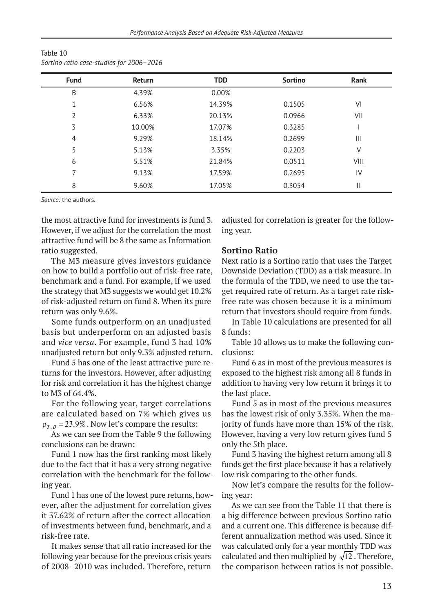| <b>Fund</b>    | <b>Return</b> | <b>TDD</b> | Sortino | Rank           |
|----------------|---------------|------------|---------|----------------|
| B              | 4.39%         | 0.00%      |         |                |
|                | 6.56%         | 14.39%     | 0.1505  | VI             |
| 2              | 6.33%         | 20.13%     | 0.0966  | VII            |
| 3              | 10.00%        | 17.07%     | 0.3285  |                |
| $\overline{4}$ | 9.29%         | 18.14%     | 0.2699  | $\mathbf{III}$ |
| 5              | 5.13%         | 3.35%      | 0.2203  | ٧              |
| 6              | 5.51%         | 21.84%     | 0.0511  | VIII           |
|                | 9.13%         | 17.59%     | 0.2695  | IV             |
| 8              | 9.60%         | 17.05%     | 0.3054  | Ш              |

Table 10 *Sortino ratio case-studies for 2006–2016*

the most attractive fund for investments is fund 3. However, if we adjust for the correlation the most attractive fund will be 8 the same as Information ratio suggested.

The M3 measure gives investors guidance on how to build a portfolio out of risk-free rate, benchmark and a fund. For example, if we used the strategy that M3 suggests we would get 10.2% of risk-adjusted return on fund 8. When its pure return was only 9.6%.

Some funds outperform on an unadjusted basis but underperform on an adjusted basis and *vice versa*. For example, fund 3 had 10% unadjusted return but only 9.3% adjusted return.

Fund 5 has one of the least attractive pure returns for the investors. However, after adjusting for risk and correlation it has the highest change to M3 of 64.4%.

For the following year, target correlations are calculated based on 7% which gives us  $\rho_{T,B} = 23.9\%$ . Now let's compare the results:

As we can see from the Table 9 the following conclusions can be drawn:

Fund 1 now has the first ranking most likely due to the fact that it has a very strong negative correlation with the benchmark for the following year.

Fund 1 has one of the lowest pure returns, however, after the adjustment for correlation gives it 37.62% of return after the correct allocation of investments between fund, benchmark, and a risk-free rate.

It makes sense that all ratio increased for the following year because for the previous crisis years of 2008–2010 was included. Therefore, return adjusted for correlation is greater for the following year.

## **Sortino Ratio**

Next ratio is a Sortino ratio that uses the Target Downside Deviation (TDD) as a risk measure. In the formula of the TDD, we need to use the target required rate of return. As a target rate riskfree rate was chosen because it is a minimum return that investors should require from funds.

In Table 10 calculations are presented for all 8 funds:

Table 10 allows us to make the following conclusions:

Fund 6 as in most of the previous measures is exposed to the highest risk among all 8 funds in addition to having very low return it brings it to the last place.

Fund 5 as in most of the previous measures has the lowest risk of only 3.35%. When the majority of funds have more than 15% of the risk. However, having a very low return gives fund 5 only the 5th place.

Fund 3 having the highest return among all 8 funds get the first place because it has a relatively low risk comparing to the other funds.

Now let's compare the results for the following year:

As we can see from the Table 11 that there is a big difference between previous Sortino ratio and a current one. This difference is because different annualization method was used. Since it was calculated only for a year monthly TDD was calculated and then multiplied by  $\sqrt{12}$ . Therefore, the comparison between ratios is not possible.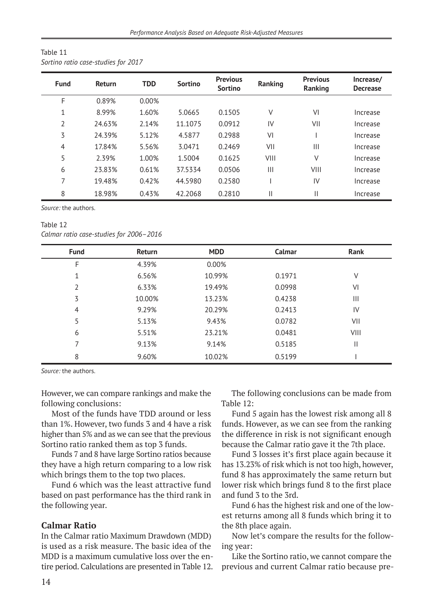| Table 11                            |  |
|-------------------------------------|--|
| Sortino ratio case-studies for 2017 |  |

| <b>Fund</b> | Return | <b>TDD</b> | <b>Sortino</b> | <b>Previous</b><br><b>Sortino</b> | Ranking | <b>Previous</b><br>Ranking | Increase/<br><b>Decrease</b> |
|-------------|--------|------------|----------------|-----------------------------------|---------|----------------------------|------------------------------|
| F           | 0.89%  | 0.00%      |                |                                   |         |                            |                              |
| 1           | 8.99%  | 1.60%      | 5.0665         | 0.1505                            | ٧       | VI                         | Increase                     |
| 2           | 24.63% | 2.14%      | 11.1075        | 0.0912                            | IV      | VII                        | Increase                     |
| 3           | 24.39% | 5.12%      | 4.5877         | 0.2988                            | VI      |                            | Increase                     |
| 4           | 17.84% | 5.56%      | 3.0471         | 0.2469                            | VII     | Ш                          | Increase                     |
| 5           | 2.39%  | 1.00%      | 1.5004         | 0.1625                            | VIII    | $\vee$                     | Increase                     |
| 6           | 23.83% | 0.61%      | 37.5334        | 0.0506                            | Ш       | VIII                       | Increase                     |
| 7           | 19.48% | 0.42%      | 44.5980        | 0.2580                            |         | IV                         | Increase                     |
| 8           | 18.98% | 0.43%      | 42.2068        | 0.2810                            | Ш       | Π                          | Increase                     |

#### Table 12 *Calmar ratio case-studies for 2006–2016*

| <b>Fund</b> | Return | <b>MDD</b> | Calmar | Rank |
|-------------|--------|------------|--------|------|
| F           | 4.39%  | 0.00%      |        |      |
|             | 6.56%  | 10.99%     | 0.1971 | ٧    |
| 2           | 6.33%  | 19.49%     | 0.0998 | VI   |
| 3           | 10.00% | 13.23%     | 0.4238 | Ш    |
| 4           | 9.29%  | 20.29%     | 0.2413 | IV   |
| 5           | 5.13%  | 9.43%      | 0.0782 | VII  |
| 6           | 5.51%  | 23.21%     | 0.0481 | VIII |
|             | 9.13%  | 9.14%      | 0.5185 | Ш    |
| 8           | 9.60%  | 10.02%     | 0.5199 |      |

*Source:* the authors.

However, we can compare rankings and make the following conclusions:

Most of the funds have TDD around or less than 1%. However, two funds 3 and 4 have a risk higher than 5% and as we can see that the previous Sortino ratio ranked them as top 3 funds.

Funds 7 and 8 have large Sortino ratios because they have a high return comparing to a low risk which brings them to the top two places.

Fund 6 which was the least attractive fund based on past performance has the third rank in the following year.

#### **Calmar Ratio**

In the Calmar ratio Maximum Drawdown (MDD) is used as a risk measure. The basic idea of the MDD is a maximum cumulative loss over the entire period. Calculations are presented in Table 12.

The following conclusions can be made from Table 12:

Fund 5 again has the lowest risk among all 8 funds. However, as we can see from the ranking the difference in risk is not significant enough because the Calmar ratio gave it the 7th place.

Fund 3 losses it's first place again because it has 13.23% of risk which is not too high, however, fund 8 has approximately the same return but lower risk which brings fund 8 to the first place and fund 3 to the 3rd.

Fund 6 has the highest risk and one of the lowest returns among all 8 funds which bring it to the 8th place again.

Now let's compare the results for the following year:

Like the Sortino ratio, we cannot compare the previous and current Calmar ratio because pre-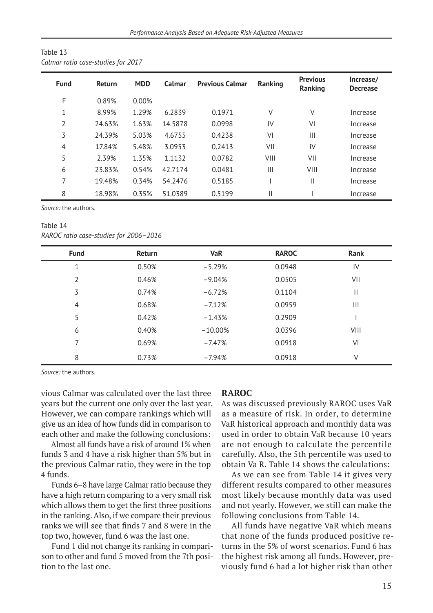| Table 13                           |  |
|------------------------------------|--|
| Calmar ratio case-studies for 2017 |  |

| <b>Fund</b>    | <b>Return</b> | <b>MDD</b> | Calmar  | <b>Previous Calmar</b> | Ranking | <b>Previous</b><br>Ranking | Increase/<br><b>Decrease</b> |
|----------------|---------------|------------|---------|------------------------|---------|----------------------------|------------------------------|
| F              | 0.89%         | 0.00%      |         |                        |         |                            |                              |
| $\mathbf{1}$   | 8.99%         | 1.29%      | 6.2839  | 0.1971                 | ٧       | ٧                          | Increase                     |
| $\overline{2}$ | 24.63%        | 1.63%      | 14.5878 | 0.0998                 | IV      | VI                         | Increase                     |
| 3              | 24.39%        | 5.03%      | 4.6755  | 0.4238                 | VI      |                            | Increase                     |
| $\overline{4}$ | 17.84%        | 5.48%      | 3.0953  | 0.2413                 | VII     | IV                         | Increase                     |
| 5              | 2.39%         | 1.35%      | 1.1132  | 0.0782                 | VIII    | VII                        | Increase                     |
| 6              | 23.83%        | 0.54%      | 42.7174 | 0.0481                 | Ш       | VIII                       | Increase                     |
| 7              | 19.48%        | 0.34%      | 54.2476 | 0.5185                 |         | Ш                          | Increase                     |
| 8              | 18.98%        | 0.35%      | 51.0389 | 0.5199                 |         |                            | Increase                     |

#### Table 14 *RAROC ratio case-studies for 2006–2016*

| <b>Fund</b>    | <b>Return</b> | <b>VaR</b> | <b>RAROC</b> | Rank           |
|----------------|---------------|------------|--------------|----------------|
| $\mathbf{1}$   | 0.50%         | $-5.29%$   | 0.0948       | IV             |
| $\overline{2}$ | 0.46%         | $-9.04%$   | 0.0505       | VII            |
| 3              | 0.74%         | $-6.72%$   | 0.1104       | $\mathsf{I}$   |
| $\overline{4}$ | 0.68%         | $-7.12%$   | 0.0959       | $\mathbf{III}$ |
| 5              | 0.42%         | $-1.43%$   | 0.2909       |                |
| 6              | 0.40%         | $-10.00\%$ | 0.0396       | VIII           |
| 7              | 0.69%         | $-7.47%$   | 0.0918       | VI             |
| 8              | 0.73%         | -7.94%     | 0.0918       | V              |

*Source:* the authors.

vious Calmar was calculated over the last three years but the current one only over the last year. However, we can compare rankings which will give us an idea of how funds did in comparison to each other and make the following conclusions:

Almost all funds have a risk of around 1% when funds 3 and 4 have a risk higher than 5% but in the previous Calmar ratio, they were in the top 4 funds.

Funds 6–8 have large Calmar ratio because they have a high return comparing to a very small risk which allows them to get the first three positions in the ranking. Also, if we compare their previous ranks we will see that finds 7 and 8 were in the top two, however, fund 6 was the last one.

Fund 1 did not change its ranking in comparison to other and fund 5 moved from the 7th position to the last one.

#### **RAROC**

As was discussed previously RAROC uses VaR as a measure of risk. In order, to determine VaR historical approach and monthly data was used in order to obtain VaR because 10 years are not enough to calculate the percentile carefully. Also, the 5th percentile was used to obtain Va R. Table 14 shows the calculations:

As we can see from Table 14 it gives very different results compared to other measures most likely because monthly data was used and not yearly. However, we still can make the following conclusions from Table 14.

All funds have negative VaR which means that none of the funds produced positive returns in the 5% of worst scenarios. Fund 6 has the highest risk among all funds. However, previously fund 6 had a lot higher risk than other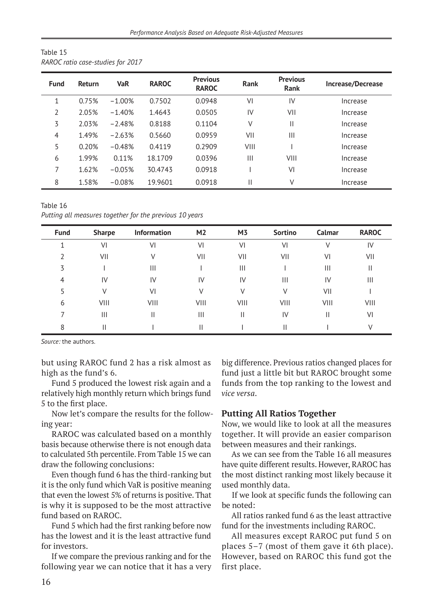|             | RAROC ratio case-studies for 2017 |            |              |                                 |             |                                |                   |  |  |  |  |
|-------------|-----------------------------------|------------|--------------|---------------------------------|-------------|--------------------------------|-------------------|--|--|--|--|
| <b>Fund</b> | <b>Return</b>                     | <b>VaR</b> | <b>RAROC</b> | <b>Previous</b><br><b>RAROC</b> | <b>Rank</b> | <b>Previous</b><br><b>Rank</b> | Increase/Decrease |  |  |  |  |
| 1           | 0.75%                             | $-1.00%$   | 0.7502       | 0.0948                          | VI          | IV                             | Increase          |  |  |  |  |
| 2           | 2.05%                             | $-1.40%$   | 1.4643       | 0.0505                          | IV          | VII                            | Increase          |  |  |  |  |
| 3           | 2.03%                             | $-2.48%$   | 0.8188       | 0.1104                          | V           | Ш                              | Increase          |  |  |  |  |
| 4           | 1.49%                             | $-2.63%$   | 0.5660       | 0.0959                          | VII         | Ш                              | Increase          |  |  |  |  |
| 5           | 0.20%                             | $-0.48%$   | 0.4119       | 0.2909                          | VIII        |                                | Increase          |  |  |  |  |
| 6           | 1.99%                             | 0.11%      | 18.1709      | 0.0396                          | Ш           | VIII                           | Increase          |  |  |  |  |
| 7           | 1.62%                             | $-0.05%$   | 30.4743      | 0.0918                          |             | VI                             | Increase          |  |  |  |  |
| 8           | 1.58%                             | $-0.08%$   | 19.9601      | 0.0918                          |             | V                              | Increase          |  |  |  |  |

Table 15

Table 16 *Putting all measures together for the previous 10 years*

| <b>Fund</b> | <b>Sharpe</b> | Information | M <sub>2</sub> | M <sub>3</sub> | Sortino | Calmar | <b>RAROC</b> |
|-------------|---------------|-------------|----------------|----------------|---------|--------|--------------|
|             | VI            | VI          | VI             | VI             | VI      |        | IV           |
|             | VII           |             | VII            | VII            | VII     | VI     | VII          |
| 3           |               | Ш           |                | Ш              |         | Ш      | Ш            |
| 4           | IV            | IV          | IV             | IV             | Ш       | IV     | Ш            |
|             |               | VI          |                |                | V       | VII    |              |
| 6           | VIII          | VIII        | VIII           | VIII           | VIII    | VIII   | VIII         |
|             | Ш             | Ш           | Ш              | Ш              | IV      |        | VI           |
| 8           | Ш             |             |                |                | Ш       |        |              |

but using RAROC fund 2 has a risk almost as high as the fund's 6.

Fund 5 produced the lowest risk again and a relatively high monthly return which brings fund 5 to the first place.

Now let's compare the results for the following year:

RAROC was calculated based on a monthly basis because otherwise there is not enough data to calculated 5th percentile. From Table 15 we can draw the following conclusions:

Even though fund 6 has the third-ranking but it is the only fund which VaR is positive meaning that even the lowest 5% of returns is positive. That is why it is supposed to be the most attractive fund based on RAROC.

Fund 5 which had the first ranking before now has the lowest and it is the least attractive fund for investors.

If we compare the previous ranking and for the following year we can notice that it has a very

big difference. Previous ratios changed places for fund just a little bit but RAROC brought some funds from the top ranking to the lowest and *vice versa*.

## **Putting All Ratios Together**

Now, we would like to look at all the measures together. It will provide an easier comparison between measures and their rankings.

As we can see from the Table 16 all measures have quite different results. However, RAROC has the most distinct ranking most likely because it used monthly data.

If we look at specific funds the following can be noted:

All ratios ranked fund 6 as the least attractive fund for the investments including RAROC.

All measures except RAROC put fund 5 on places 5–7 (most of them gave it 6th place). However, based on RAROC this fund got the first place.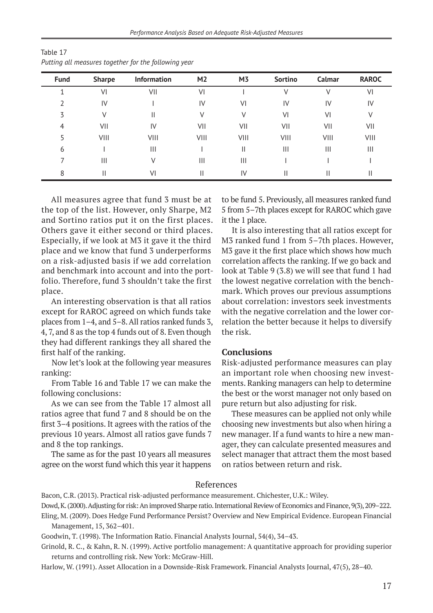| <b>Fund</b> | <b>Sharpe</b> | <b>Information</b> | M <sub>2</sub> | M <sub>3</sub> | Sortino        | Calmar | <b>RAROC</b> |
|-------------|---------------|--------------------|----------------|----------------|----------------|--------|--------------|
|             | VI            | VII                | VI             |                |                |        | VI           |
|             | IV            |                    | IV             | VI             | IV             | IV     | IV           |
| 3           | ٧             | н                  | V              |                | VI             | VI     |              |
| 4           | VII           | IV                 | VII            | VII            | VII            | VII    | VII          |
|             | VIII          | VIII               | VIII           | VIII           | VIII           | VIII   | VIII         |
| 6           |               | Ш                  |                | Ш              | $\mathbf{III}$ | Ш      | Ш            |
|             | Ш             |                    | $\mathbf{III}$ | Ш              |                |        |              |
| 8           | Н             | VI                 | Ш              | IV             | Н              |        | Ш            |

| Table 17                                             |  |
|------------------------------------------------------|--|
| Putting all measures together for the following year |  |

All measures agree that fund 3 must be at the top of the list. However, only Sharpe, M2 and Sortino ratios put it on the first places. Others gave it either second or third places. Especially, if we look at M3 it gave it the third place and we know that fund 3 underperforms on a risk-adjusted basis if we add correlation and benchmark into account and into the portfolio. Therefore, fund 3 shouldn't take the first place.

An interesting observation is that all ratios except for RAROC agreed on which funds take places from 1–4, and 5–8. All ratios ranked funds 3, 4, 7, and 8 as the top 4 funds out of 8. Even though they had different rankings they all shared the first half of the ranking.

Now let's look at the following year measures ranking:

From Table 16 and Table 17 we can make the following conclusions:

As we can see from the Table 17 almost all ratios agree that fund 7 and 8 should be on the first 3–4 positions. It agrees with the ratios of the previous 10 years. Almost all ratios gave funds 7 and 8 the top rankings.

The same as for the past 10 years all measures agree on the worst fund which this year it happens

to be fund 5. Previously, all measures ranked fund 5 from 5–7th places except for RAROC which gave it the 1 place.

It is also interesting that all ratios except for M3 ranked fund 1 from 5–7th places. However, M3 gave it the first place which shows how much correlation affects the ranking. If we go back and look at Table 9 (3.8) we will see that fund 1 had the lowest negative correlation with the benchmark. Which proves our previous assumptions about correlation: investors seek investments with the negative correlation and the lower correlation the better because it helps to diversify the risk.

#### **Conclusions**

Risk-adjusted performance measures can play an important role when choosing new investments. Ranking managers can help to determine the best or the worst manager not only based on pure return but also adjusting for risk.

These measures can be applied not only while choosing new investments but also when hiring a new manager. If a fund wants to hire a new manager, they can calculate presented measures and select manager that attract them the most based on ratios between return and risk.

### References

Bacon, C.R. (2013). Practical risk-adjusted performance measurement. Chichester, U.K.: Wiley.

Dowd, K. (2000). Adjusting for risk: An improved Sharpe ratio. International Review of Economics and Finance, 9(3), 209–222.

Eling, M. (2009). Does Hedge Fund Performance Persist? Overview and New Empirical Evidence. European Financial Management, 15, 362–401.

Goodwin, T. (1998). The Information Ratio. Financial Analysts Journal, 54(4), 34–43.

Grinold, R. C., & Kahn, R. N. (1999). Active portfolio management: A quantitative approach for providing superior returns and controlling risk. New York: McGraw-Hill.

Harlow, W. (1991). Asset Allocation in a Downside-Risk Framework. Financial Analysts Journal, 47(5), 28–40.